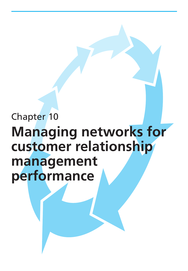# **Managing networks for customer relationship management performance**  Chapter 10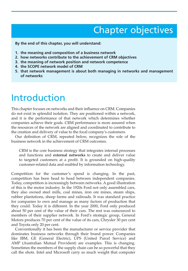## Chapter objectives

 **By the end of this chapter, you will understand:** 

- **1. the meaning and composition of a business network**
- **2. how networks contribute to the achievement of CRM objectives**
- **3. the meaning of network position and network competence**
- **4. the SCOPE network model of CRM**
- **5. that network management is about both managing in networks and management of networks**

#### Introduction

This chapter focuses on networks and their influence on CRM. Companies do not exist in splendid isolation. They are positioned within a network, and it is the performance of that network which determines whether companies achieve their goals. CRM performance is more assured when the resources of the network are aligned and coordinated to contribute to the creation and delivery of value to the focal company's customers.

Our definition of CRM, repeated below, recognizes the role of the business network in the achievement of CRM outcomes.

 CRM is the core business strategy that integrates internal processes and functions and **external networks** to create and deliver value to targeted customers at a profit. It is grounded on high-quality customer-related data and enabled by information technology.

 Competition for the customer's spend is changing. In the past, competition has been head to head between independent companies. Today, competition is increasingly between networks. A good illustration of this is the motor industry. In the 1920s Ford not only assembled cars, they also owned steel mills, coal mines, iron ore mines, steam ships, rubber plantations, sheep farms and railroads. It was standard practice for companies to own and manage as many factors of production that they could. Today it is different. In the year 2000, Ford only produced about 50 per cent of the value of their cars. The rest was outsourced to members of their supplier network. In Ford's strategic group, General Motors produces 70 per cent of the value of its cars, Chrysler 30 per cent and Toyota only 20 per cent.

Conventionally it has been the manufacturer or service provider that dominates business networks through their brand power. Companies like IBM, GE (General Electric), UPS (United Parcel Service) and AMP (Australian Mutual Provident) are examples. This is changing. Sometimes the members of the supply chain can be so powerful that they call the shots. Intel and Microsoft carry so much weight that computer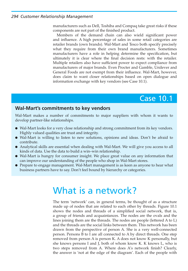manufacturers such as Dell, Toshiba and Compaq take great risks if these components are not part of the finished product.

Members of the demand chain can also wield significant power and influence. A high percentage of sales in some retail categories are retailer brands (own brands). Wal-Mart and Tesco both specify precisely what they require from their own brand manufacturers. Sometimes manufacturers have a role in helping determine the specification, but ultimately it is clear where the final decision rests: with the retailer. Multiple retailers also have sufficient power to expect compliance from manufacturers of major brands. Even Procter and Gamble, Unilever and General Foods are not exempt from their influence. Wal-Mart, however, does claim to want closer relationships based on open dialogue and information exchange with key vendors (see Case 10.1).

#### Case 10.1

#### **Wal-Mart's commitments to key vendors**

 Wal-Mart makes a number of commitments to major suppliers with whom it wants to develop partner-like relationships.

- Wal-Mart looks for a very close relationship and strong commitment from its key vendors. Highly valued qualities are trust and integrity.
- Wal-Mart is willing to listen to new solutions, opinions and ideas. Don't be afraid to contribute.
- Analytical skills are essential when dealing with Wal-Mart. We will give you access to all kinds of data. Use the data to build a win–win relationship.
- Wal-Mart is hungry for consumer insight. We place great value on any information that can improve our understanding of the people who shop in Wal-Mart stores.
- Prepare to engage management. Wal-Mart management is as keen as anyone to hear what business partners have to say. Don't feel bound by hierarchy or categories.

### What is a network?

The term 'network' can, in general terms, be thought of as a structure made up of nodes that are related to each other by threads. Figure 10.1 shows the nodes and threads of a simplified social network, that is, a group of friends and acquaintances. The nodes are the ovals and the lines joining them are the threads. The nodes are people (lettered A to L) and the threads are the social links between them. This network has been drawn from the perspective of person A. She is a very well-connected person. Persons B to I are all connected to A by direct threads. One step removed from person A is person K. A does not know K personally, but she knows persons I and J, both of whom know K. K knows L, who is two steps removed from A. Where does A's network finish? Clearly, the answer is 'not at the edge of the diagram'. Each of the people with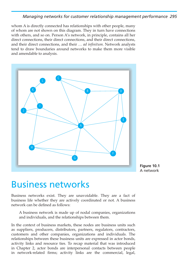#### *Managing networks for customer relationship management performance 295*

whom A is directly connected has relationships with other people, many of whom are not shown on this diagram. They in turn have connections with others, and so on. Person A's network, in principle, contains all her direct connections, their direct connections, and their direct connections, and their direct connections, and their ... *ad infinitum*. Network analysts tend to draw boundaries around networks to make them more visible and amendable to analysis.



 **Figure 10.1**  A network

#### Business networks

 Business networks exist. They are unavoidable. They are a fact of business life whether they are actively coordinated or not. A business network can be defined as follows:

 A business network is made up of nodal companies, organizations and individuals, and the relationships between them.

 In the context of business markets, these nodes are business units such as suppliers, producers, distributors, partners, regulators, contractors, customers and other companies, organizations and individuals. The relationships between these business units are expressed in actor bonds, activity links and resource ties. To recap material that was introduced in Chapter 2, actor bonds are interpersonal contacts between people in network-related firms; activity links are the commercial, legal,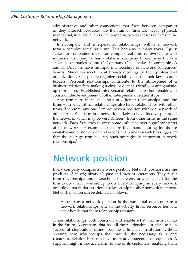administrative and other connections that form between companies as they interact; resources are the human, financial, legal, physical, managerial, intellectual and other strengths or weaknesses of firms in the network.

Intercompany and interpersonal relationships within a network form a complex social structure. This happens in many ways. Equity stakes in companies make for complex patterns of ownership and influence. Company A has a stake in company B; company B has a stake in companies A and C. Company C has stakes in companies A and D. Directors have multiple memberships of network companies' boards. Marketers meet up at branch meetings of their professional organizations. Salespeople organize social events for their key account holders. Personal relationships contribute to the atmosphere of a business relationship, making it close or distant, friendly or antagonistic, open or closed. Established interpersonal relationships both enable and constrain the development of other interpersonal relationships.

Any firm participates in a host of different relationships, and the firms with which it has relationships also have relationships with other firms. Therefore, any one firm occupies a position within a network of other firms. Each firm in a network is likely to have its own picture of the network, which may be very different from other firms in the same network. Each firm tries to exert some influence over significant parts of its network, for example to ensure that manufacturing inputs are available and customer demand is constant. Some research has suggested that the average firm has ten such strategically important network relationships. $<sup>1</sup>$ </sup>

## Network position

 Every company occupies a network position. Network positions are the products of an organization's past and present operations. They result from relationships and interactions that were, or are, needed for the firm to do what it was set up to do. Every company in every network occupies a particular position in relationship to other network members. Network position can be defined as follows:

A company's network position is the sum total of a company's network relationships and all the activity links, resource ties and actor bonds that these relationships contain.

These relationships both constrain and enable what that firm can do in the future. A company that has all the relationships in place to be a successful shipbuilder cannot become a financial institution without creating new relationships that provide the necessary skills and resources. Relationships can have more advantageous consequences. A supplier might introduce a firm to one of its customers, enabling them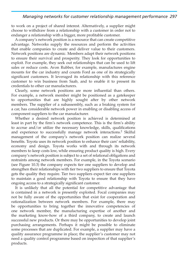to work on a project of shared interest. Alternatively, a supplier might choose to withdraw from a relationship with a customer in order not to endanger a relationship with a bigger, more profitable customer.

 A company's network position is a resource that can create competitive advantage. Networks supply the resources and perform the activities that enable companies to create and deliver value to their customers. Network positions are dynamic. Members adapt their network positions to ensure their survival and prosperity. They look for opportunities to exploit. For example, they seek out relationships that can be used to lift sales or reduce costs. Avon Rubber, for example, manufactures engine mounts for the car industry and counts Ford as one of its strategically significant customers. It leveraged its relationship with this reference customer to win business from Saab, and to enable it to present its credentials to other car manufacturers.

Clearly, some network positions are more influential than others. For example, a network member might be positioned as a gatekeeper to opportunities that are highly sought after by other network members. The supplier of a subassembly, such as a braking system for a car, has considerable network power in enabling or disabling access of component suppliers to the car manufacturer.

Whether a desired network position is achieved is determined at least in part by the firm's network competence. This is the firm's ability to accrue and/or utilize the necessary knowledge, skills, qualifications and experience to successfully manage network interactions.<sup>2</sup> Skilful management of the company's network position can realize several benefits. Toyota uses its network position to enhance their cars' reliability, economy and design. Toyota works with and through its network members to keep costs low, while ensuring product quality is high. Every company's network position is subject to a set of relational obligations and restraints among network members. For example, in the Toyota scenario (see Figure 10.3 ) the company expects tier one suppliers to develop and strengthen their relationships with tier two suppliers to ensure that Toyota gets the quality they require. Tier two suppliers expect tier one suppliers to maintain a good relationship with Toyota to ensure that they have ongoing access to a strategically significant customer.

It is unlikely that all the potential for competitive advantage that is contained in a network is presently exploited. Focal companies may not be fully aware of the opportunities that exist for cooperation and rationalization between network members. For example, there may be opportunities to bring together the innovative competencies of one network member, the manufacturing expertise of another and the marketing know-how of a third company, to create and launch successful new products. Or there may be opportunities to develop joint purchasing arrangements. Perhaps it might be possible to eliminate some processes that are duplicated. For example, a supplier may have a quality assurance programme in place; the supplier's customer may not need a quality control programme based on inspection of that supplier's products.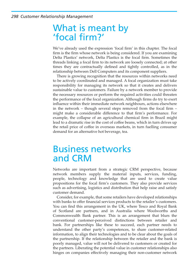### What is meant by 'focal firm?'

We've already used the expression 'focal firm' in this chapter. The focal firm is the firm whose network is being considered. If you are examining Delta Plastics' network, Delta Plastics is the focal firm. Sometimes the threads linking a focal firm to its network are loosely connected; at other times they are contractually defined and tightly controlled, as in the relationship between Dell Computers and its component suppliers.

 There is growing recognition that the resources within networks need to be actively coordinated and managed. A focal organization must take responsibility for managing its network so that it creates and delivers sustainable value to customers. Failure by a network member to provide the necessary resources or perform the required activities could threaten the performance of the focal organization. Although firms do try to exert influence within their immediate network neighbours, actions elsewhere in the network – though several steps removed from the focal firm  $$ might make a considerable difference to that firm's performance. For example, the collapse of an agricultural chemical firm in Brazil might lead to a dramatic rise in the cost of coffee beans, which in turn drives up the retail price of coffee in overseas markets, in turn fuelling consumer demand for an alternative hot beverage, tea.

### Business networks and CRM

 Networks are important from a strategic CRM perspective, because network members supply the material inputs, services, funding, people, technology and knowledge that are used to create value propositions for the focal firm's customers. They also provide services such as advertising, logistics and distribution that help raise and satisfy customer demand.

Consider, for example, that some retailers have developed relationships with banks to offer financial services products to the retailer's customers. You can find this arrangement in the UK, where Tesco and Royal Bank of Scotland are partners, and in Australia where Woolworths and Commonwealth Bank partner. This is an arrangement that blurs the conventional customer-perceived distinctions between retailer and bank. For partnerships like these to succeed, each partner needs to understand the other party's competences, to share customer-related information, to align their technologies and to be clear about the goals of the partnership. If the relationship between the retailer and the bank is poorly managed, value will not be delivered to customers or created for the partners. Liberating the potential value in customer relationships also hinges on companies effectively managing their non-customer network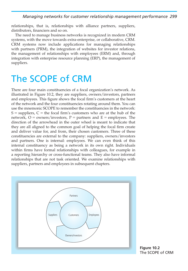relationships, that is, relationships with alliance partners, suppliers, distributors, financiers and so on.

 The need to manage business networks is recognized in modern CRM systems, with the move towards extra-enterprise, or collaborative, CRM. CRM systems now include applications for managing relationships with partners (PRM), the integration of websites for investor relations, the management of relationships with employees (ERM) and, through integration with enterprise resource planning (ERP), the management of suppliers.

# The SCOPE of CRM

There are four main constituencies of a focal organization's network. As illustrated in Figure 10.2 , they are suppliers, owners/investors, partners and employees. This figure shows the focal firm's customers at the heart of the network and the four constituencies rotating around them. You can use the mnemonic SCOPE to remember the constituencies in the network:  $S =$  suppliers,  $C =$  the focal firm's customers who are at the hub of the network,  $O = \text{owners/investors}, P = \text{partners}$  and  $E = \text{employees}.$  The direction of the arrowhead in the outer wheel is meant to indicate that they are all aligned to the common goal of helping the focal firm create and deliver value for, and from, their chosen customers. Three of these constituencies are external to the company: suppliers, owners/investors and partners. One is internal: employees. We can even think of this internal constituency as being a network in its own right. Individuals within firms have formal relationships with colleagues, for example in a reporting hierarchy or cross-functional teams. They also have informal relationships that are not task oriented. We examine relationships with suppliers, partners and employees in subsequent chapters.



 **Figure 10.2**  The SCOPE of CRM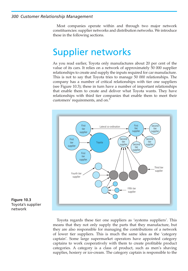Most companies operate within and through two major network constituencies: supplier networks and distribution networks. We introduce these in the following sections.

### Supplier networks

As you read earlier, Toyota only manufactures about 20 per cent of the value of its cars. It relies on a network of approximately 50 000 supplier relationships to create and supply the inputs required for car manufacture. This is not to say that Toyota tries to manage 50 000 relationships. The company has a number of critical relationships with tier one suppliers (see Figure 10.3); these in turn have a number of important relationships that enable them to create and deliver what Toyota wants. They have relationships with third tier companies that enable them to meet their customers' requirements, and on.<sup>3</sup>





Toyota regards these tier one suppliers as 'systems suppliers'. This means that they not only supply the parts that they manufacture, but they are also responsible for managing the contributions of a network of lower tier suppliers. This is much the same idea as the 'category captain'. Some large supermarket operators have appointed category captains to work cooperatively with them to create profitable product categories. A category is a class of product, such as men's shaving supplies, hosiery or ice-cream. The category captain is responsible to the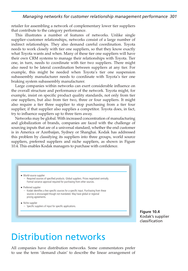retailer for assembling a network of complementary lower tier suppliers that contribute to the category performance.

This illustrates a number of features of networks. Unlike single supplier–customer relationships, networks consist of a large number of indirect relationships. They also demand careful coordination. Toyota needs to work closely with tier one suppliers, so that they know exactly what Toyota wants and when. Many of these tier one suppliers will have their own CRM systems to manage their relationships with Toyota. Tier one, in turn, needs to coordinate with tier two suppliers. There might also need to be lateral coordination between suppliers at any tier. For example, this might be needed when Toyota's tier one suspension subassembly manufacturer needs to coordinate with Toyota's tier one braking system subassembly manufacturer.

Large companies within networks can exert considerable influence on the overall structure and performance of the network. Toyota might, for example, insist on specific product quality standards, not only from tier one suppliers, but also from tier two, three or four suppliers. It might also require a tier three supplier to stop purchasing from a tier four supplier, if that supplier also supplies a competitor. Toyota does, in fact, try to influence suppliers up to three tiers away.

Networks may be global. With increased concentration of manufacturing and globalization of brands, companies are faced with the challenge of sourcing inputs that are of a universal standard, whether the end customer is in America or Azerbaijan, Sydney or Shanghai. Kodak has addressed this problem by classifying its suppliers into three groups, world source suppliers, preferred suppliers and niche suppliers, as shown in Figure 10.4. This enables Kodak managers to purchase with confidence.



 **Figure 10.4**  Kodak's supplier classification

## Distribution networks

 All companies have distribution networks. Some commentators prefer to use the term 'demand chain' to describe the linear arrangement of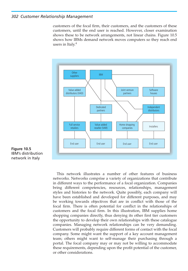customers of the focal firm, their customers, and the customers of these customers, until the end user is reached. However, closer examination shows these to be network arrangements, not linear chains. Figure 10.5 shows how IBMs demand network moves computers so they reach end users in Italy.<sup>4</sup>



 **Figure 10.5**  IBM's distribution network in Italy

 This network illustrates a number of other features of business networks. Networks comprise a variety of organizations that contribute in different ways to the performance of a focal organization. Companies bring different competencies, resources, relationships, management styles and histories to the network. Quite possibly, each company will have been established and developed for different purposes, and may be working towards objectives that are in conflict with those of the focal firm. There is often potential for conflict in the relationships of customers and the focal firm. In this illustration, IBM supplies home shopping companies directly, thus denying its other first tier customers the opportunity to develop their own relationships with these catalogue companies. Managing network relationships can be very demanding. Customers will probably require different forms of contact with the focal company. Some might want the support of a key account management team; others might want to self-manage their purchasing through a portal. The focal company may or may not be willing to accommodate these requirements, depending upon the profit potential of the customer, or other considerations.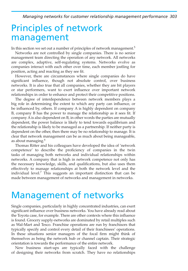### Principles of network management

In this section we set out a number of principles of network management.<sup>5</sup>

Networks are not controlled by single companies. There is no senior management team directing the operation of any network. All networks are complex, adaptive, self-regulating systems. Networks evolve as companies interact with each other over time, each member jostling for position, acting and reacting as they see fit.

 However, there are circumstances where single companies do have significant influence, though not absolute control, over business networks. It is also true that all companies, whether they are bit players or star performers, want to exert influence over important network relationships in order to enhance and protect their competitive positions.

The degree of interdependence between network members plays a big role in determining the extent to which any party can influence, or be influenced by, others. If company A is highly dependent on company B, company B has the power to manage the relationship as it sees fit. If company A is also dependent on B, in other words the parties are mutually dependent, the power balance is likely to tend towards equilibrium and the relationship is likely to be managed as a partnership. If neither party is dependent on the other, then there may be no relationship to manage. It is clear that network management can be as much about being manageable, as about managing.<sup>6</sup>

Thomas Ritter and his colleagues have developed the idea of 'network competence' to describe the proficiency of companies in the twin tasks of managing both networks and individual relationships within networks. A company that is high in network competence not only has the necessary knowledge, skills, and qualifications, but also uses them effectively to manage relationships at both the network level and the individual level.<sup>7</sup> This suggests an important distinction that can be made between management of networks and management in networks.

### Management of networks

 Single companies, particularly in highly concentrated industries, can exert significant influence over business networks. You have already read about the Toyota case, for example. There are other contexts where this influence is found. Grocery supply-networks are dominated by retail multiples such as Wal-Mart and Tesco. Franchise operations are run by franchisors that typically specify and control every detail of their franchisees' operations. In these situations senior managers of the focal firm might think of themselves as being the network hub or channel captain. Their strategic orientation is towards the performance of the entire network.

New business start-ups are typically faced with the challenge of designing their networks from scratch. They have no relationships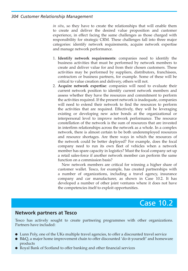*in situ*, so they have to create the relationships that will enable them to create and deliver the desired value proposition and customer experience, in effect facing the same challenges as those charged with responsibility for strategic CRM. These challenges fall into three major categories: identify network requirements, acquire network expertise and manage network performance.

- 1. **Identify network requirements**: companies need to identify the business activities that must be performed by network members to create and deliver value for and from their chosen customers. These activities may be performed by suppliers, distributors, franchisees, contractors or business partners, for example. Some of these will be critical to value creation and delivery, others will not.
- 2. Acquire network expertise: companies will need to evaluate their current network position to identify current network members and assess whether they have the resources and commitment to perform the activities required. If the present network is inadequate, companies will need to extend their network to find the resources to perform the activities that are required. Effectively, they will be leveraging existing or developing new actor bonds at the organizational or interpersonal level to improve network performance. The resource constellation of the network is the sum of resources that are invested in interfirm relationships across the network as a whole. In a complex network, there is almost certain to be both underemployed resources and resource shortages. Are there ways in which the resources of the network could be better deployed? For example, does the focal company need to run its own fleet of vehicles when a network member has spare capacity in logistics? Must the focal company set up a retail sales-force if another network member can perform the same function on a commission basis?

 New network members are critical for winning a higher share of customer wallet. Tesco, for example, has created partnerships with a number of organizations, including a travel agency, insurance company and car manufacturer, as shown in Case 10.2. It has developed a number of other joint ventures where it does not have the competencies itself to exploit opportunities.

#### Case 10.2

#### **Network partners at Tesco**

Tesco has actively sought to create partnering programmes with other organizations. Partners have included:

- Lunn Poly, one of the UKs multiple travel agencies, to offer a discounted travel service
- B&Q, a major home improvement chain to offer discounted 'do-it-yourself' and homeware products
- Royal Bank of Scotland to offer banking and other financial services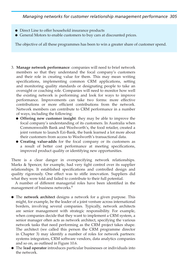- Direct Line to offer household insurance products
- General Motors to enable customers to buy cars at discounted prices.

The objective of all these programmes has been to win a greater share of customer spend.

- 3. **Manage network performance** : companies will need to brief network members so that they understand the focal company's customers and their role in creating value for them. This may mean writing specifications, implementing common CRM applications, setting and monitoring quality standards or designating people to take an oversight or coaching role. Companies will need to monitor how well the existing network is performing and look for ways to improve performance. Improvements can take two forms: more effective contributions or more efficient contributions from the network. Network members can contribute to CRM performance in a number of ways, including the following:
	- **Offering new customer insight**: they may be able to improve the focal company's understanding of its customers. In Australia when Commonwealth Bank and Woolworth's, the food retailer, created a joint venture to launch Ezi-Bank, the bank learned a lot more about their customers from access to Woolworth's transactional data.
	- **Creating value-adds** for the focal company or its customers as a result of better cost performance at meeting specifications, improved product quality or identifying new opportunities.

There is a clear danger in overspecifying network relationships. Marks & Spencer, for example, had very tight control over its supplier relationships. It established specifications and controlled design and quality rigorously. One effect was to stifle innovation. Suppliers did what they were told and failed to contribute to their full potential.

A number of different managerial roles have been identified in the management of business networks. 8

- The **network architect** designs a network for a given purpose. This might, for example, be the leader of a joint venture across international borders, involving several companies. Typically, network architects are senior management with strategic responsibility. For example, when companies decide that they want to implement a CRM system, a senior manager often acts as network architect, specifying the various network tasks that need performing as the CRM project takes shape. The architect (we called this person the CRM programme director in Chapter 3) may identify a number of roles for network partners: systems integrators, CRM software vendors, data analytics companies and so on, as outlined in Figure 10.6 .
- The **lead operator** introduces particular businesses or individuals into the network.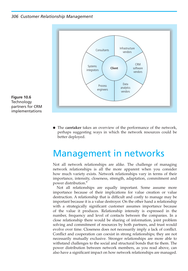

 **Figure 10.6 Technology** partners for CRM implementations

> ● The **caretaker** takes an overview of the performance of the network, perhaps suggesting ways in which the network resources could be better deployed.

### Management in networks

Not all network relationships are alike. The challenge of managing network relationships is all the more apparent when you consider how much variety exists. Network relationships vary in terms of their importance, intensity, closeness, strength, adaptation, commitment and power distribution. 9

Not all relationships are equally important. Some assume more importance because of their implications for value creation or value destruction. A relationship that is difficult and costly to manage may be important because it is a value destroyer. On the other hand a relationship with a strategically significant customer assumes importance because of the value it produces. Relationship intensity is expressed in the number, frequency and level of contacts between the companies. In a close relationship there would be sharing of information, joint problem solving and commitment of resources by both partners, and trust would evolve over time. Closeness does not necessarily imply a lack of conflict. Conflict and cooperation can coexist in strong relationships; they are not necessarily mutually exclusive. Stronger relationships are more able to withstand challenges to the social and structural bonds that tie them. The power distribution between network members, as you read above, can also have a significant impact on how network relationships are managed.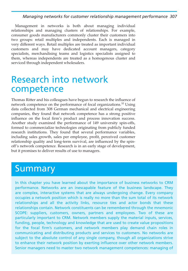Management in networks is both about managing individual relationships and managing clusters of relationships. For example, consumer goods manufacturers commonly cluster their customers into two groups: retail multiples and independents. Each is managed in very different ways. Retail multiples are treated as important individual customers and may have dedicated account managers, category specialists, merchandising teams and logistics specialists assigned to them, whereas independents are treated as a homogenous cluster and serviced through independent wholesalers.

### Research into network competence

Thomas Ritter and his colleagues have begun to research the influence of network competence on the performance of focal organizations. 10 Using data collected from 308 German mechanical and electrical engineering companies, they found that network competence has a strong positive influence on the focal firm's product and process innovation success. Another study examined the performance of 149 university spin-offs, formed to commercialize technologies originating from publicly funded research institutions. They found that several performance variables, including sales growth, sales per employee, profit, perceived customer relationship quality and long-term survival, are influenced by the spinoff's network competence. Research is in an early stage of development, but it promises to deliver results of use to managers.

#### **Summary**

In this chapter you have learned about the importance of business networks to CRM performance. Networks are an inescapable feature of the business landscape. They are complex, interactive systems that are always undergoing change. Every company occupies a network position which is really no more than the sum total of its network relationships and all the activity links, resource ties and actor bonds that these relationships contain. Network constituents can be remembered through the mnemonic SCOPE: suppliers, customers, owners, partners and employees. Two of these are particularly important to CRM. Network members supply the material inputs, services, funding, people, technology and knowledge that are used to create value propositions for the focal firm's customers, and network members play demand chain roles in communicating and distributing products and services to customers. No networks are subject to the absolute control of any single company, though all organizations strive to enhance their network position by exerting influence over other network members. Senior managers need to master two network management competences: managing of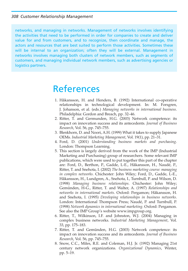networks, and managing in networks. Management of networks involves identifying the activities that need to be performed in order for companies to create and deliver value for and from customers, and to recognize, then coordinate and manage, the actors and resources that are best suited to perform those activities. Sometimes these will be internal to an organization; often they will be external. Management in networks involves managing both clusters of network members, such as segments of customers, and managing individual network members, such as advertising agencies or logistics partners.

### References

- 1. Håkansson, H. and Henders, B. (1992) International co-operative relationships in technological development. In: M. Forsgren, J. Johanson, et al. (eds.) *Managing networks in international business* . Philadelphia: Gordon and Breach, pp. 32-46.
- 2. Ritter, T. and Germunden, H.G. (2003) Network competence: its impact on innovation success and its antecedents . *Journal of Business Research*, Vol. 56, pp. 745–755.
- 3. Blenkhorn, D. and Noori, A.H. (1999) What it takes to supply Japanese OEMs. *Industrial Marketing Management*, Vol. 19(1), pp. 21–31.
- 4. Ford, D. (2001) *Understanding business markets and purchasing*. London: Thompson Learning.
- 5. This section is largely derived from the work of the IMP (Industrial Marketing and Purchasing) group of researchers. Some relevant IMP publications, which were used to put together this part of the chapter are: Ford, D., Berthon, P., Gadde, L-E., Håkansson, H., Naudé, P., Ritter, T. and Snehota, I. (2002) *The business marketing course: managing in complex networks*. Chichester: John Wiley; Ford, D., Gadde, L-E., Håkansson, H., Lundgren, A., Snehota, I., Turnbull, P. and Wilson, D. (1998) *Managing business relationships* . Chichester: John Wiley; Gemünden, H-G., Ritter, T. and Walter, A. (1997) *Relationships and networks in international markets* . Oxford: Pergamon; Håkansson, H. and Snehota, I. (1995) *Developing relationships in business networks* . London: International Thompson Press; Naudé, P. and Turnbull, P. (1998) *Network dynamics in international marketing* . Oxford: Pergamon. See also the IMP Group's website www.impgroup.org.
- 6. Ritter, T., Wilkinson, I.F. and Johnston, W.J. (2004) Managing in complex business networks. *Industrial Marketing Management*, Vol. 33, pp. 175-183.
- 7. Ritter, T. and Gemünden, H.G. (2003) Network competence: its impact on innovation success and its antecedents . *Journal of Business Research*, Vol. 56, pp. 745–755.
- 8. Snow, C.C., Miles, R.E. and Coleman, H.J. Jr. (1992) Managing 21st century network organizations. Organizational Dynamics, Winter, pp. 5–19.